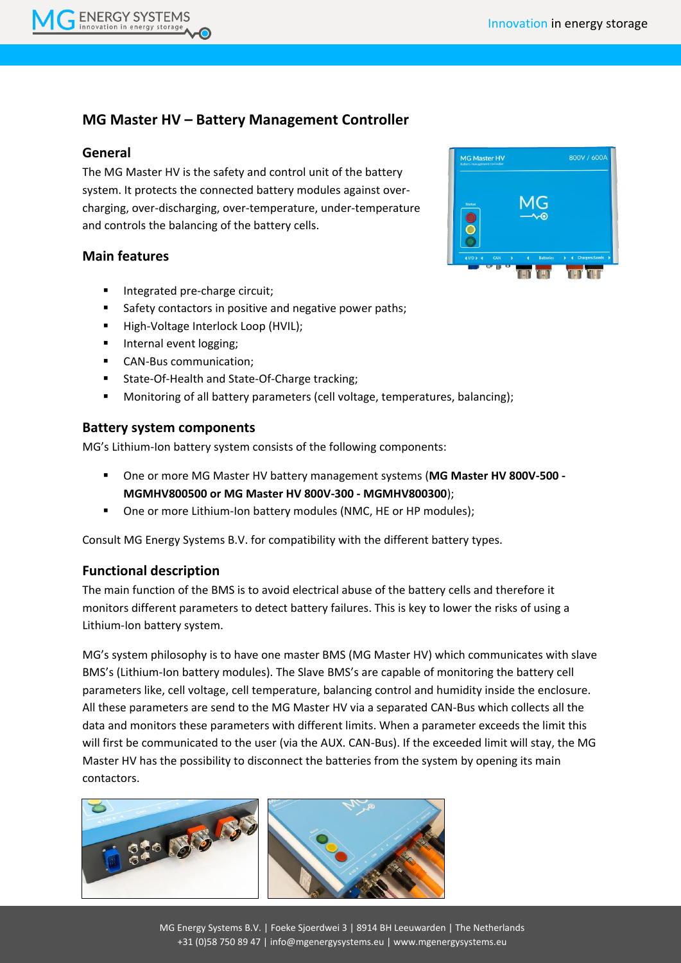# **MG Master HV – Battery Management Controller**

#### **General**

**ENERGY SYSTEMS** 

The MG Master HV is the safety and control unit of the battery system. It protects the connected battery modules against overcharging, over-discharging, over-temperature, under-temperature and controls the balancing of the battery cells.

#### **Main features**

- Integrated pre-charge circuit;
- Safety contactors in positive and negative power paths;
- High-Voltage Interlock Loop (HVIL);
- **Internal event logging;**
- **CAN-Bus communication:**
- **State-Of-Health and State-Of-Charge tracking;**
- **Monitoring of all battery parameters (cell voltage, temperatures, balancing);**

#### **Battery system components**

MG's Lithium-Ion battery system consists of the following components:

- One or more MG Master HV battery management systems (**MG Master HV 800V-500 - MGMHV800500 or MG Master HV 800V-300 - MGMHV800300**);
- One or more Lithium-Ion battery modules (NMC, HE or HP modules);

Consult MG Energy Systems B.V. for compatibility with the different battery types.

## **Functional description**

ij 820 (BS)

 $\precsim$ 

The main function of the BMS is to avoid electrical abuse of the battery cells and therefore it monitors different parameters to detect battery failures. This is key to lower the risks of using a Lithium-Ion battery system.

MG's system philosophy is to have one master BMS (MG Master HV) which communicates with slave BMS's (Lithium-Ion battery modules). The Slave BMS's are capable of monitoring the battery cell parameters like, cell voltage, cell temperature, balancing control and humidity inside the enclosure. All these parameters are send to the MG Master HV via a separated CAN-Bus which collects all the data and monitors these parameters with different limits. When a parameter exceeds the limit this will first be communicated to the user (via the AUX. CAN-Bus). If the exceeded limit will stay, the MG Master HV has the possibility to disconnect the batteries from the system by opening its main contactors.



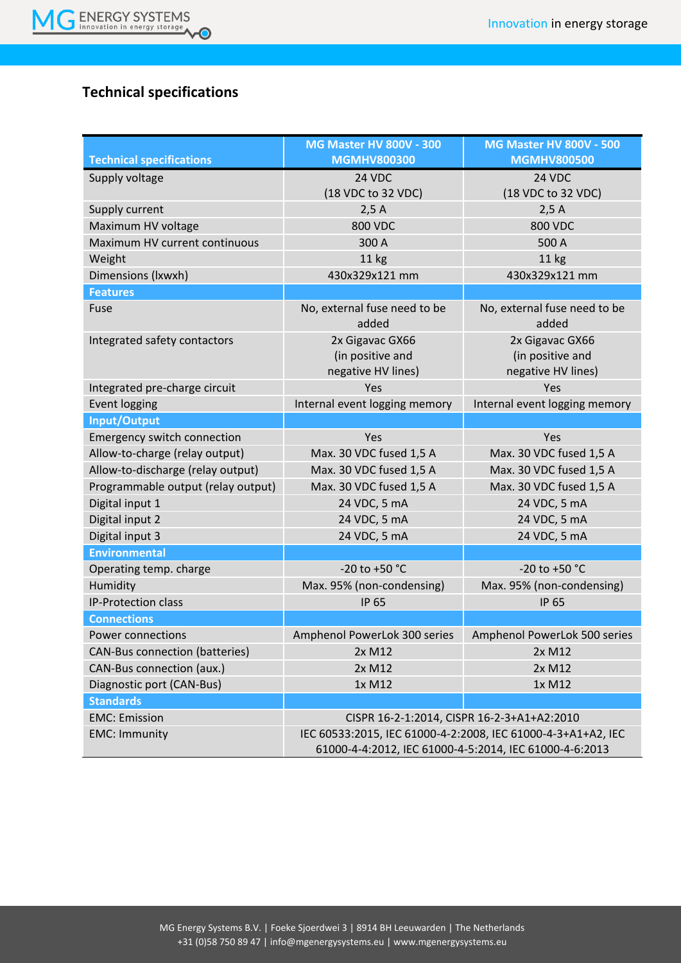

# **Technical specifications**

|                                       | <b>MG Master HV 800V - 300</b>                               | <b>MG Master HV 800V - 500</b>        |
|---------------------------------------|--------------------------------------------------------------|---------------------------------------|
| <b>Technical specifications</b>       | <b>MGMHV800300</b>                                           | <b>MGMHV800500</b>                    |
| Supply voltage                        | 24 VDC                                                       | 24 VDC                                |
|                                       | (18 VDC to 32 VDC)                                           | (18 VDC to 32 VDC)                    |
| Supply current                        | 2,5A                                                         | 2,5A                                  |
| Maximum HV voltage                    | <b>800 VDC</b>                                               | <b>800 VDC</b>                        |
| Maximum HV current continuous         | 300 A                                                        | 500 A                                 |
| Weight                                | 11 kg                                                        | 11 kg                                 |
| Dimensions (Ixwxh)                    | 430x329x121 mm                                               | 430x329x121 mm                        |
| <b>Features</b>                       |                                                              |                                       |
| Fuse                                  | No, external fuse need to be<br>added                        | No, external fuse need to be<br>added |
| Integrated safety contactors          | 2x Gigavac GX66                                              | 2x Gigavac GX66                       |
|                                       | (in positive and                                             | (in positive and                      |
|                                       | negative HV lines)                                           | negative HV lines)                    |
| Integrated pre-charge circuit         | Yes                                                          | Yes                                   |
| <b>Event logging</b>                  | Internal event logging memory                                | Internal event logging memory         |
| Input/Output                          |                                                              |                                       |
| Emergency switch connection           | Yes                                                          | Yes                                   |
| Allow-to-charge (relay output)        | Max. 30 VDC fused 1,5 A                                      | Max. 30 VDC fused 1,5 A               |
| Allow-to-discharge (relay output)     | Max. 30 VDC fused 1,5 A                                      | Max. 30 VDC fused 1,5 A               |
| Programmable output (relay output)    | Max. 30 VDC fused 1,5 A                                      | Max. 30 VDC fused 1,5 A               |
| Digital input 1                       | 24 VDC, 5 mA                                                 | 24 VDC, 5 mA                          |
| Digital input 2                       | 24 VDC, 5 mA                                                 | 24 VDC, 5 mA                          |
| Digital input 3                       | 24 VDC, 5 mA                                                 | 24 VDC, 5 mA                          |
| <b>Environmental</b>                  |                                                              |                                       |
| Operating temp. charge                | $-20$ to $+50$ °C                                            | $-20$ to $+50$ °C                     |
| Humidity                              | Max. 95% (non-condensing)                                    | Max. 95% (non-condensing)             |
| IP-Protection class                   | <b>IP 65</b>                                                 | <b>IP 65</b>                          |
| <b>Connections</b>                    |                                                              |                                       |
| <b>Power connections</b>              | Amphenol PowerLok 300 series                                 | Amphenol PowerLok 500 series          |
| <b>CAN-Bus connection (batteries)</b> | 2x M12                                                       | 2x M12                                |
| CAN-Bus connection (aux.)             | 2x M12                                                       | 2x M12                                |
| Diagnostic port (CAN-Bus)             | 1x M12                                                       | 1x M12                                |
| <b>Standards</b>                      |                                                              |                                       |
| <b>EMC: Emission</b>                  | CISPR 16-2-1:2014, CISPR 16-2-3+A1+A2:2010                   |                                       |
| <b>EMC: Immunity</b>                  | IEC 60533:2015, IEC 61000-4-2:2008, IEC 61000-4-3+A1+A2, IEC |                                       |
|                                       | 61000-4-4:2012, IEC 61000-4-5:2014, IEC 61000-4-6:2013       |                                       |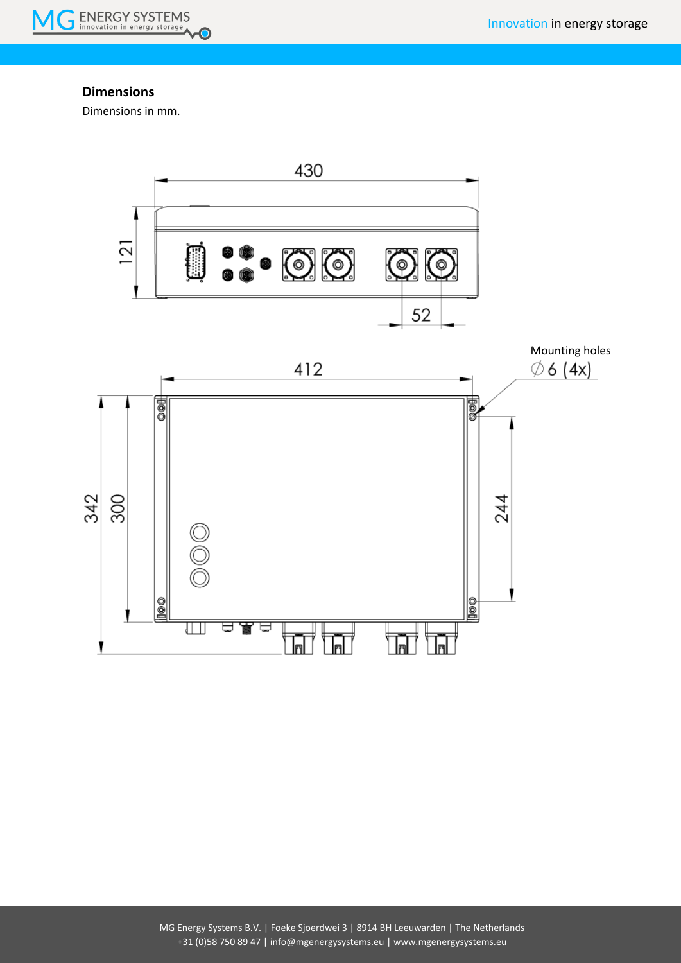

### **Dimensions**

Dimensions in mm.